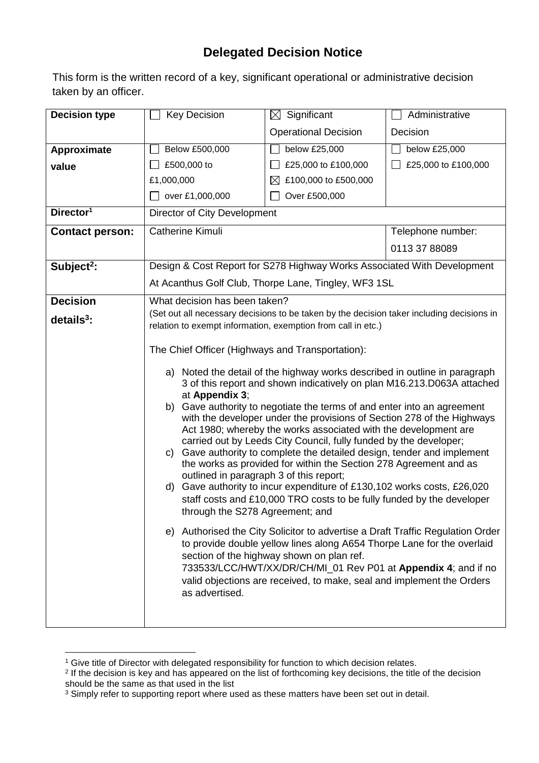## **Delegated Decision Notice**

This form is the written record of a key, significant operational or administrative decision taken by an officer.

| <b>Decision type</b>   | <b>Key Decision</b>                                                                                                                                                                                   | Significant<br>$\boxtimes$        | Administrative      |  |  |
|------------------------|-------------------------------------------------------------------------------------------------------------------------------------------------------------------------------------------------------|-----------------------------------|---------------------|--|--|
|                        |                                                                                                                                                                                                       | <b>Operational Decision</b>       | Decision            |  |  |
| Approximate            | Below £500,000                                                                                                                                                                                        | below £25,000                     | below £25,000       |  |  |
| value                  | £500,000 to                                                                                                                                                                                           | £25,000 to £100,000               | £25,000 to £100,000 |  |  |
|                        | £1,000,000                                                                                                                                                                                            | £100,000 to £500,000<br>$\bowtie$ |                     |  |  |
|                        | over £1,000,000<br>$\perp$                                                                                                                                                                            | Over £500,000                     |                     |  |  |
| Director <sup>1</sup>  | Director of City Development                                                                                                                                                                          |                                   |                     |  |  |
| <b>Contact person:</b> | <b>Catherine Kimuli</b>                                                                                                                                                                               |                                   | Telephone number:   |  |  |
|                        |                                                                                                                                                                                                       |                                   | 0113 37 88089       |  |  |
| Subject <sup>2</sup> : | Design & Cost Report for S278 Highway Works Associated With Development                                                                                                                               |                                   |                     |  |  |
|                        | At Acanthus Golf Club, Thorpe Lane, Tingley, WF3 1SL                                                                                                                                                  |                                   |                     |  |  |
| <b>Decision</b>        | What decision has been taken?                                                                                                                                                                         |                                   |                     |  |  |
| $details3$ :           | (Set out all necessary decisions to be taken by the decision taker including decisions in                                                                                                             |                                   |                     |  |  |
|                        | relation to exempt information, exemption from call in etc.)                                                                                                                                          |                                   |                     |  |  |
|                        | The Chief Officer (Highways and Transportation):                                                                                                                                                      |                                   |                     |  |  |
|                        | a) Noted the detail of the highway works described in outline in paragraph<br>3 of this report and shown indicatively on plan M16.213.D063A attached                                                  |                                   |                     |  |  |
|                        | at Appendix 3;                                                                                                                                                                                        |                                   |                     |  |  |
|                        | b) Gave authority to negotiate the terms of and enter into an agreement                                                                                                                               |                                   |                     |  |  |
|                        | with the developer under the provisions of Section 278 of the Highways<br>Act 1980; whereby the works associated with the development are                                                             |                                   |                     |  |  |
|                        | carried out by Leeds City Council, fully funded by the developer;                                                                                                                                     |                                   |                     |  |  |
|                        | Gave authority to complete the detailed design, tender and implement<br>C)                                                                                                                            |                                   |                     |  |  |
|                        | the works as provided for within the Section 278 Agreement and as<br>outlined in paragraph 3 of this report;                                                                                          |                                   |                     |  |  |
|                        | d) Gave authority to incur expenditure of £130,102 works costs, £26,020                                                                                                                               |                                   |                     |  |  |
|                        | staff costs and £10,000 TRO costs to be fully funded by the developer<br>through the S278 Agreement; and                                                                                              |                                   |                     |  |  |
|                        |                                                                                                                                                                                                       |                                   |                     |  |  |
|                        | e) Authorised the City Solicitor to advertise a Draft Traffic Regulation Order<br>to provide double yellow lines along A654 Thorpe Lane for the overlaid<br>section of the highway shown on plan ref. |                                   |                     |  |  |
|                        | 733533/LCC/HWT/XX/DR/CH/MI_01 Rev P01 at Appendix 4; and if no                                                                                                                                        |                                   |                     |  |  |
|                        | valid objections are received, to make, seal and implement the Orders<br>as advertised.                                                                                                               |                                   |                     |  |  |
|                        |                                                                                                                                                                                                       |                                   |                     |  |  |
|                        |                                                                                                                                                                                                       |                                   |                     |  |  |

<sup>1</sup> <sup>1</sup> Give title of Director with delegated responsibility for function to which decision relates.

<sup>&</sup>lt;sup>2</sup> If the decision is key and has appeared on the list of forthcoming key decisions, the title of the decision should be the same as that used in the list

 $3$  Simply refer to supporting report where used as these matters have been set out in detail.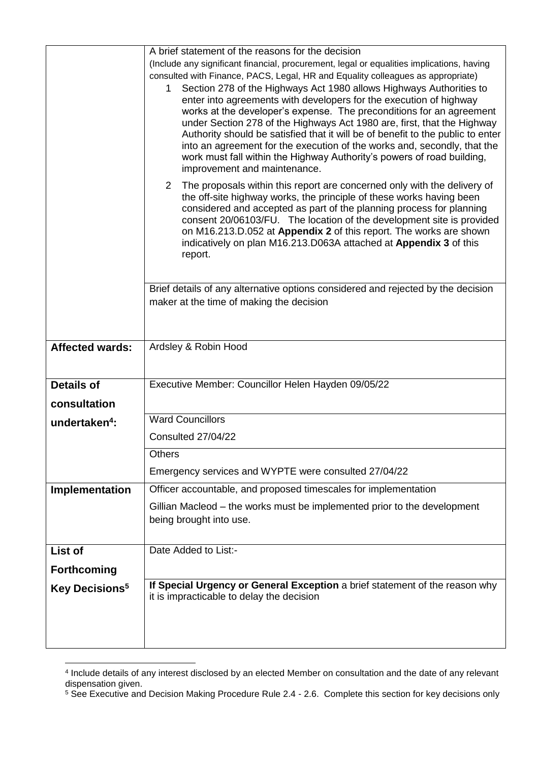|                                  | A brief statement of the reasons for the decision                                                                                                          |  |  |  |  |
|----------------------------------|------------------------------------------------------------------------------------------------------------------------------------------------------------|--|--|--|--|
|                                  | (Include any significant financial, procurement, legal or equalities implications, having                                                                  |  |  |  |  |
|                                  | consulted with Finance, PACS, Legal, HR and Equality colleagues as appropriate)                                                                            |  |  |  |  |
|                                  | Section 278 of the Highways Act 1980 allows Highways Authorities to<br>$\mathbf 1$<br>enter into agreements with developers for the execution of highway   |  |  |  |  |
|                                  | works at the developer's expense. The preconditions for an agreement                                                                                       |  |  |  |  |
|                                  | under Section 278 of the Highways Act 1980 are, first, that the Highway<br>Authority should be satisfied that it will be of benefit to the public to enter |  |  |  |  |
|                                  | into an agreement for the execution of the works and, secondly, that the                                                                                   |  |  |  |  |
|                                  | work must fall within the Highway Authority's powers of road building,                                                                                     |  |  |  |  |
|                                  | improvement and maintenance.<br>$\mathbf{2}^{\prime}$<br>The proposals within this report are concerned only with the delivery of                          |  |  |  |  |
|                                  | the off-site highway works, the principle of these works having been<br>considered and accepted as part of the planning process for planning               |  |  |  |  |
|                                  |                                                                                                                                                            |  |  |  |  |
|                                  | consent 20/06103/FU. The location of the development site is provided<br>on M16.213.D.052 at Appendix 2 of this report. The works are shown                |  |  |  |  |
|                                  | indicatively on plan M16.213.D063A attached at Appendix 3 of this                                                                                          |  |  |  |  |
|                                  | report.                                                                                                                                                    |  |  |  |  |
|                                  |                                                                                                                                                            |  |  |  |  |
|                                  | Brief details of any alternative options considered and rejected by the decision                                                                           |  |  |  |  |
|                                  | maker at the time of making the decision                                                                                                                   |  |  |  |  |
|                                  |                                                                                                                                                            |  |  |  |  |
| <b>Affected wards:</b>           | Ardsley & Robin Hood                                                                                                                                       |  |  |  |  |
|                                  |                                                                                                                                                            |  |  |  |  |
| <b>Details of</b>                | Executive Member: Councillor Helen Hayden 09/05/22                                                                                                         |  |  |  |  |
| consultation                     |                                                                                                                                                            |  |  |  |  |
|                                  | <b>Ward Councillors</b>                                                                                                                                    |  |  |  |  |
| undertaken <sup>4</sup> :        | Consulted 27/04/22                                                                                                                                         |  |  |  |  |
|                                  |                                                                                                                                                            |  |  |  |  |
|                                  | <b>Others</b>                                                                                                                                              |  |  |  |  |
|                                  | Emergency services and WYPTE were consulted 27/04/22                                                                                                       |  |  |  |  |
| Implementation                   | Officer accountable, and proposed timescales for implementation                                                                                            |  |  |  |  |
|                                  | Gillian Macleod – the works must be implemented prior to the development<br>being brought into use.                                                        |  |  |  |  |
|                                  |                                                                                                                                                            |  |  |  |  |
| List of                          | Date Added to List:-                                                                                                                                       |  |  |  |  |
| <b>Forthcoming</b>               |                                                                                                                                                            |  |  |  |  |
| <b>Key Decisions<sup>5</sup></b> | If Special Urgency or General Exception a brief statement of the reason why                                                                                |  |  |  |  |
|                                  | it is impracticable to delay the decision                                                                                                                  |  |  |  |  |
|                                  |                                                                                                                                                            |  |  |  |  |
|                                  |                                                                                                                                                            |  |  |  |  |
|                                  |                                                                                                                                                            |  |  |  |  |

 4 Include details of any interest disclosed by an elected Member on consultation and the date of any relevant dispensation given.

<sup>&</sup>lt;sup>5</sup> See Executive and Decision Making Procedure Rule 2.4 - 2.6. Complete this section for key decisions only